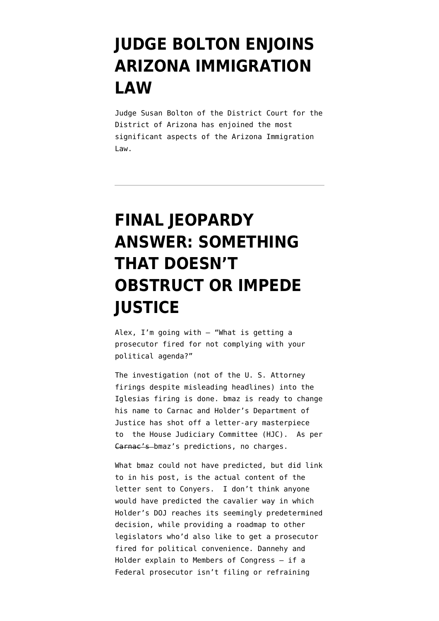#### **[JUDGE BOLTON ENJOINS](https://www.emptywheel.net/2010/07/28/judge-bolton-enjoins-arizona-immigration-law/) [ARIZONA IMMIGRATION](https://www.emptywheel.net/2010/07/28/judge-bolton-enjoins-arizona-immigration-law/) [LAW](https://www.emptywheel.net/2010/07/28/judge-bolton-enjoins-arizona-immigration-law/)**

Judge Susan Bolton of the District Court for the District of Arizona has enjoined the most significant aspects of the Arizona Immigration Law.

## **[FINAL JEOPARDY](https://www.emptywheel.net/2010/07/21/final-jeopardy-answer-something-that-doesnt-obstruct-or-impede-justice/) [ANSWER: SOMETHING](https://www.emptywheel.net/2010/07/21/final-jeopardy-answer-something-that-doesnt-obstruct-or-impede-justice/) [THAT DOESN'T](https://www.emptywheel.net/2010/07/21/final-jeopardy-answer-something-that-doesnt-obstruct-or-impede-justice/) [OBSTRUCT OR IMPEDE](https://www.emptywheel.net/2010/07/21/final-jeopardy-answer-something-that-doesnt-obstruct-or-impede-justice/) [JUSTICE](https://www.emptywheel.net/2010/07/21/final-jeopardy-answer-something-that-doesnt-obstruct-or-impede-justice/)**

Alex, I'm going with – "What is getting a prosecutor fired for not complying with your political agenda?"

The investigation (not of the U. S. Attorney firings despite misleading headlines) into the Iglesias firing is done. [bmaz is ready to change](http://emptywheel.firedoglake.com/2010/07/21/shocking-result-in-us-attorney-purgegate-scandal/) [his name to Carnac](http://emptywheel.firedoglake.com/2010/07/21/shocking-result-in-us-attorney-purgegate-scandal/) and Holder's Department of Justice has shot off a letter-ary masterpiece to the House Judiciary Committee (HJC). As per Carnac's bmaz's predictions, no charges.

What bmaz could not have predicted, but did link to in his post, is the actual content of the letter sent to Conyers. I don't think anyone would have predicted the cavalier way in which Holder's DOJ reaches its seemingly predetermined decision, while providing a roadmap to other legislators who'd also like to get a prosecutor fired for political convenience. Dannehy and Holder explain to Members of Congress – if a Federal prosecutor isn't filing or refraining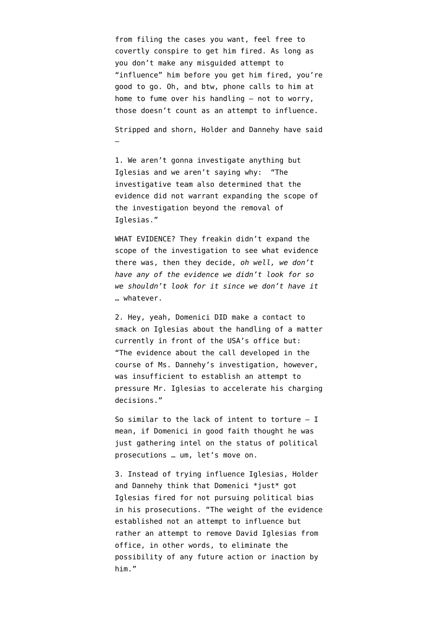from filing the cases you want, feel free to covertly conspire to get him fired. As long as you don't make any misguided attempt to "influence" him before you get him fired, you're good to go. Oh, and btw, phone calls to him at home to fume over his handling – not to worry, those doesn't count as an attempt to influence.

Stripped and shorn, Holder and Dannehy have said

–

1. We aren't gonna investigate anything but Iglesias and we aren't saying why: "The investigative team also determined that the evidence did not warrant expanding the scope of the investigation beyond the removal of Iglesias."

WHAT EVIDENCE? They freakin didn't expand the scope of the investigation to see what evidence there was, then they decide, *oh well, we don't have any of the evidence we didn't look for so we shouldn't look for it since we don't have it* … whatever.

2. Hey, yeah, Domenici DID make a contact to smack on Iglesias about the handling of a matter currently in front of the USA's office but: "The evidence about the call developed in the course of Ms. Dannehy's investigation, however, was insufficient to establish an attempt to pressure Mr. Iglesias to accelerate his charging decisions."

So similar to the lack of intent to torture  $- I$ mean, if Domenici in good faith thought he was just gathering intel on the status of political prosecutions … um, let's move on.

3. Instead of trying influence Iglesias, Holder and Dannehy think that Domenici \*just\* got Iglesias fired for not pursuing political bias in his prosecutions. "The weight of the evidence established not an attempt to influence but rather an attempt to remove David Iglesias from office, in other words, to eliminate the possibility of any future action or inaction by him."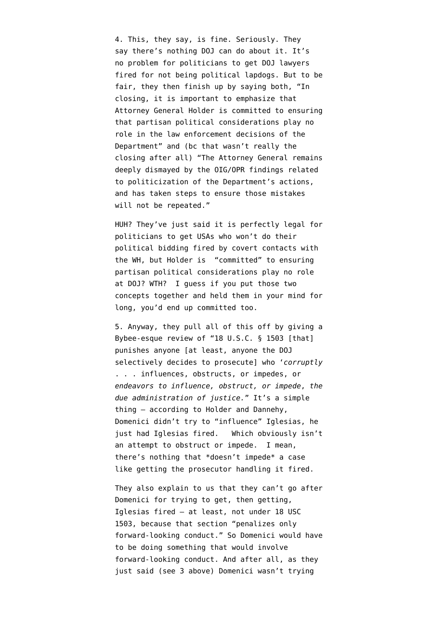4. This, they say, is fine. Seriously. They say there's nothing DOJ can do about it. It's no problem for politicians to get DOJ lawyers fired for not being political lapdogs. But to be fair, they then finish up by saying both, "In closing, it is important to emphasize that Attorney General Holder is committed to ensuring that partisan political considerations play no role in the law enforcement decisions of the Department" and (bc that wasn't really the closing after all) "The Attorney General remains deeply dismayed by the OIG/OPR findings related to politicization of the Department's actions, and has taken steps to ensure those mistakes will not be repeated."

HUH? They've just said it is perfectly legal for politicians to get USAs who won't do their political bidding fired by covert contacts with the WH, but Holder is "committed" to ensuring partisan political considerations play no role at DOJ? WTH? I guess if you put those two concepts together and held them in your mind for long, you'd end up committed too.

5. Anyway, they pull all of this off by giving a Bybee-esque review of "[18 U.S.C. § 1503 \[](http://www.law.cornell.edu/uscode/uscode18/usc_sec_18_00001503----000-.html)that] punishes anyone [at least, anyone the DOJ selectively decides to prosecute] who '*corruptly* . . . influences, obstructs, or impedes, or *endeavors to influence, obstruct, or impede*, *the due administration of justice.*" It's a simple thing – according to Holder and Dannehy, Domenici didn't try to "influence" Iglesias, he just had Iglesias fired. Which obviously isn't an attempt to obstruct or impede. I mean, there's nothing that \*doesn't impede\* a case like getting the prosecutor handling it fired.

They also explain to us that they can't go after Domenici for trying to get, then getting, Iglesias fired – at least, not under 18 USC 1503, because that section "penalizes only forward-looking conduct." So Domenici would have to be doing something that would involve forward-looking conduct. And after all, as they just said (see 3 above) Domenici wasn't trying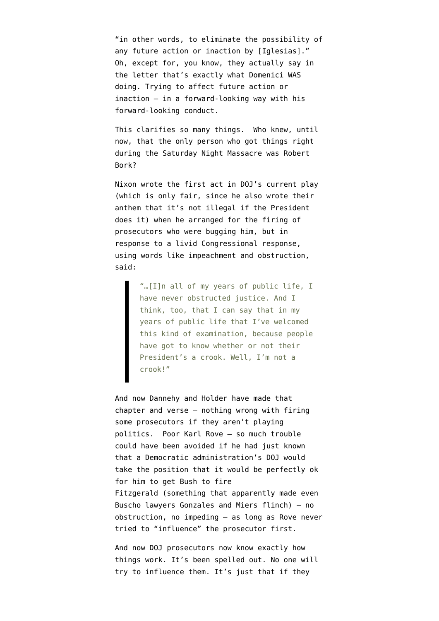"in other words, to eliminate the possibility of any future action or inaction by [Iglesias]." Oh, except for, you know, they actually say in the letter that's exactly what Domenici WAS doing. Trying to affect future action or inaction – in a forward-looking way with his forward-looking conduct.

This clarifies so many things. Who knew, until now, that the only person who got things right during the [Saturday Night Massacre](http://en.wikipedia.org/wiki/Saturday_Night_Massacre) was Robert Bork?

Nixon wrote the first act in DOJ's current play (which is only fair, since he also wrote their anthem that it's not illegal if the President does it) when he arranged for the firing of prosecutors who were bugging him, but in response to a livid Congressional response, using words like impeachment and obstruction, said:

> "…[I]n all of my years of public life, I have never obstructed justice. And I think, too, that I can say that in my years of public life that I've welcomed this kind of examination, because people have got to know whether or not their President's a crook. Well, I'm not a crook!"

And now Dannehy and Holder have made that chapter and verse – nothing wrong with firing some prosecutors if they aren't playing politics. Poor Karl Rove – so much trouble could have been avoided if he had just known that a Democratic administration's DOJ would take the position that it would be perfectly ok for him to get Bush to fire Fitzgerald (something that apparently made even Buscho lawyers Gonzales and Miers flinch) – no obstruction, no impeding – as long as Rove never tried to "influence" the prosecutor first.

And now DOJ prosecutors now know exactly how things work. It's been spelled out. No one will try to influence them. It's just that if they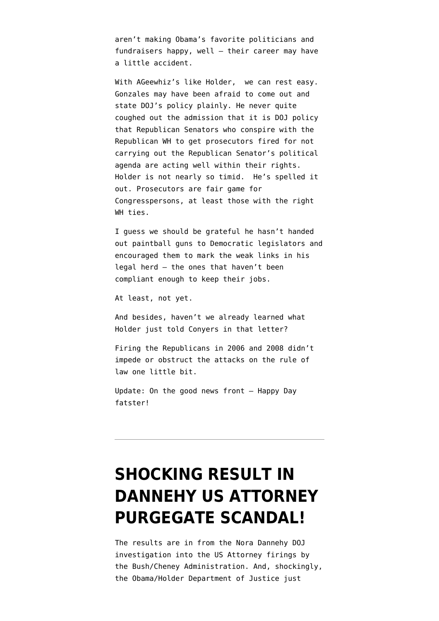aren't making Obama's favorite politicians and fundraisers happy, well – their career may have a little accident.

With AGeewhiz's like Holder, we can rest easy. Gonzales may have been afraid to come out and state DOJ's policy plainly. He never quite coughed out the admission that it is DOJ policy that Republican Senators who conspire with the Republican WH to get prosecutors fired for not carrying out the Republican Senator's political agenda are acting well within their rights. Holder is not nearly so timid. He's spelled it out. Prosecutors are fair game for Congresspersons, at least those with the right WH ties.

I guess we should be grateful he hasn't handed out paintball guns to Democratic legislators and encouraged them to mark the weak links in his legal herd – the ones that haven't been compliant enough to keep their jobs.

At least, not yet.

And besides, haven't we already learned what Holder just told Conyers in that letter?

Firing the Republicans in 2006 and 2008 didn't impede or obstruct the attacks on the rule of law one little bit.

Update: On the good news front – Happy Day fatster!

## **[SHOCKING RESULT IN](https://www.emptywheel.net/2010/07/21/shocking-result-in-us-attorney-purgegate-scandal/) [DANNEHY US ATTORNEY](https://www.emptywheel.net/2010/07/21/shocking-result-in-us-attorney-purgegate-scandal/) [PURGEGATE SCANDAL!](https://www.emptywheel.net/2010/07/21/shocking-result-in-us-attorney-purgegate-scandal/)**

The results are in from the Nora Dannehy DOJ investigation into the US Attorney firings by the Bush/Cheney Administration. And, shockingly, the Obama/Holder Department of Justice just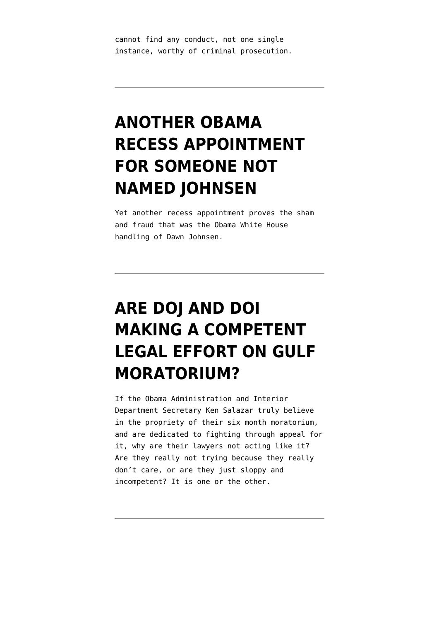cannot find any conduct, not one single instance, worthy of criminal prosecution.

## **[ANOTHER OBAMA](https://www.emptywheel.net/2010/07/06/another-obama-recess-appointment-for-someone-not-named-johnsen/) [RECESS APPOINTMENT](https://www.emptywheel.net/2010/07/06/another-obama-recess-appointment-for-someone-not-named-johnsen/) [FOR SOMEONE NOT](https://www.emptywheel.net/2010/07/06/another-obama-recess-appointment-for-someone-not-named-johnsen/) [NAMED JOHNSEN](https://www.emptywheel.net/2010/07/06/another-obama-recess-appointment-for-someone-not-named-johnsen/)**

Yet another recess appointment proves the sham and fraud that was the Obama White House handling of Dawn Johnsen.

# **[ARE DOJ AND DOI](https://www.emptywheel.net/2010/07/05/are-doj-and-doi-making-a-competent-legal-effort-on-moratorium/) [MAKING A COMPETENT](https://www.emptywheel.net/2010/07/05/are-doj-and-doi-making-a-competent-legal-effort-on-moratorium/) [LEGAL EFFORT ON GULF](https://www.emptywheel.net/2010/07/05/are-doj-and-doi-making-a-competent-legal-effort-on-moratorium/) [MORATORIUM?](https://www.emptywheel.net/2010/07/05/are-doj-and-doi-making-a-competent-legal-effort-on-moratorium/)**

If the Obama Administration and Interior Department Secretary Ken Salazar truly believe in the propriety of their six month moratorium, and are dedicated to fighting through appeal for it, why are their lawyers not acting like it? Are they really not trying because they really don't care, or are they just sloppy and incompetent? It is one or the other.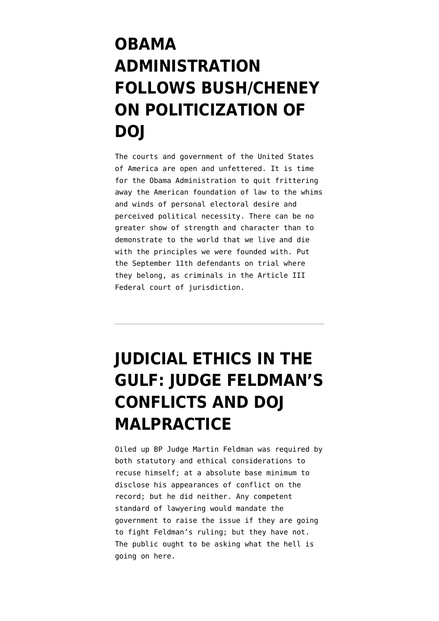## **[OBAMA](https://www.emptywheel.net/2010/07/04/obama-administration-follows-bushcheney-on-politicization-of-doj/) [ADMINISTRATION](https://www.emptywheel.net/2010/07/04/obama-administration-follows-bushcheney-on-politicization-of-doj/) [FOLLOWS BUSH/CHENEY](https://www.emptywheel.net/2010/07/04/obama-administration-follows-bushcheney-on-politicization-of-doj/) [ON POLITICIZATION OF](https://www.emptywheel.net/2010/07/04/obama-administration-follows-bushcheney-on-politicization-of-doj/) [DOJ](https://www.emptywheel.net/2010/07/04/obama-administration-follows-bushcheney-on-politicization-of-doj/)**

The courts and government of the United States of America are open and unfettered. It is time for the Obama Administration to quit frittering away the American foundation of law to the whims and winds of personal electoral desire and perceived political necessity. There can be no greater show of strength and character than to demonstrate to the world that we live and die with the principles we were founded with. Put the September 11th defendants on trial where they belong, as criminals in the Article III Federal court of jurisdiction.

# **[JUDICIAL ETHICS IN THE](https://www.emptywheel.net/2010/06/28/judicial-ethics-in-the-gulf-judge-feldmans-conflicts-and-doj-malpractice/) [GULF: JUDGE FELDMAN'S](https://www.emptywheel.net/2010/06/28/judicial-ethics-in-the-gulf-judge-feldmans-conflicts-and-doj-malpractice/) [CONFLICTS AND DOJ](https://www.emptywheel.net/2010/06/28/judicial-ethics-in-the-gulf-judge-feldmans-conflicts-and-doj-malpractice/) [MALPRACTICE](https://www.emptywheel.net/2010/06/28/judicial-ethics-in-the-gulf-judge-feldmans-conflicts-and-doj-malpractice/)**

Oiled up BP Judge Martin Feldman was required by both statutory and ethical considerations to recuse himself; at a absolute base minimum to disclose his appearances of conflict on the record; but he did neither. Any competent standard of lawyering would mandate the government to raise the issue if they are going to fight Feldman's ruling; but they have not. The public ought to be asking what the hell is going on here.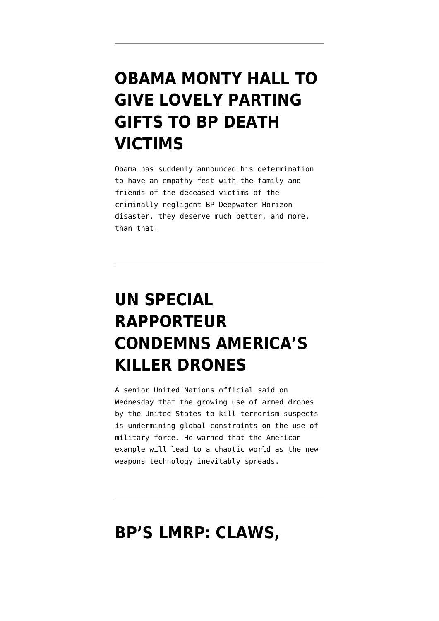#### **[OBAMA MONTY HALL TO](https://www.emptywheel.net/2010/06/04/obama-monty-hall-to-give-lovely-parting-gifts-to-bp-death-victims/) [GIVE LOVELY PARTING](https://www.emptywheel.net/2010/06/04/obama-monty-hall-to-give-lovely-parting-gifts-to-bp-death-victims/) [GIFTS TO BP DEATH](https://www.emptywheel.net/2010/06/04/obama-monty-hall-to-give-lovely-parting-gifts-to-bp-death-victims/) [VICTIMS](https://www.emptywheel.net/2010/06/04/obama-monty-hall-to-give-lovely-parting-gifts-to-bp-death-victims/)**

Obama has suddenly announced his determination to have an empathy fest with the family and friends of the deceased victims of the criminally negligent BP Deepwater Horizon disaster. they deserve much better, and more, than that.

# **[UN SPECIAL](https://www.emptywheel.net/2010/06/02/americas-killer-drones/) [RAPPORTEUR](https://www.emptywheel.net/2010/06/02/americas-killer-drones/) [CONDEMNS AMERICA'S](https://www.emptywheel.net/2010/06/02/americas-killer-drones/) [KILLER DRONES](https://www.emptywheel.net/2010/06/02/americas-killer-drones/)**

A senior United Nations official said on Wednesday that the growing use of armed drones by the United States to kill terrorism suspects is undermining global constraints on the use of military force. He warned that the American example will lead to a chaotic world as the new weapons technology inevitably spreads.

#### **[BP'S LMRP: CLAWS,](https://www.emptywheel.net/2010/06/01/bps-lmrp-claws-craws-saws-and-jaws/)**